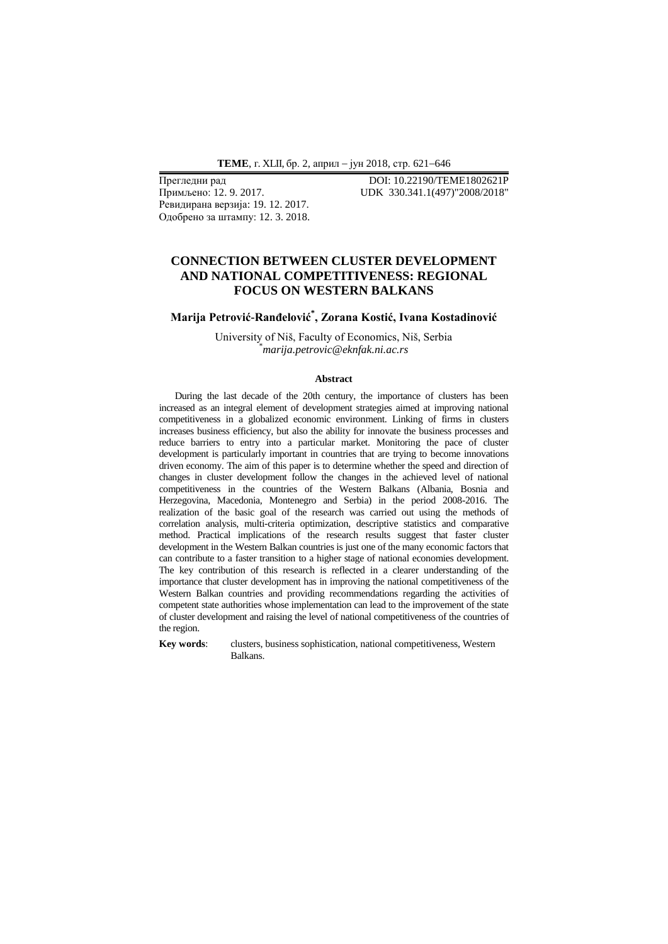Ревидирана верзија: 19. 12. 2017. Одобрено за штампу: 12. 3. 2018.

Прегледни рад **DOI: 10.22190/ТЕМЕ1802621P**<br>
Примљено: 12. 9. 2017. **IDE 330.341.1(497)**"2008/2018" Примљено: 12. 9. 2017. UDK 330.341.1(497)"2008/2018"

## **CONNECTION BETWEEN CLUSTER DEVELOPMENT AND NATIONAL COMPETITIVENESS: REGIONAL FOCUS ON WESTERN BALKANS**

# **Marija Petrović-Ranđelović\* , Zorana Kostić, Ivana Kostadinović**

University of Niš, Faculty of Economics, Niš, Serbia \**marija.petrovic@eknfak.ni.ac.rs*

#### **Abstract**

During the last decade of the 20th century, the importance of clusters has been increased as an integral element of development strategies aimed at improving national competitiveness in a globalized economic environment. Linking of firms in clusters increases business efficiency, but also the ability for innovate the business processes and reduce barriers to entry into a particular market. Monitoring the pace of cluster development is particularly important in countries that are trying to become innovations driven economy. The aim of this paper is to determine whether the speed and direction of changes in cluster development follow the changes in the achieved level of national competitiveness in the countries of the Western Balkans (Albania, Bosnia and Herzegovina, Macedonia, Montenegro and Serbia) in the period 2008-2016. The realization of the basic goal of the research was carried out using the methods of correlation analysis, multi-criteria optimization, descriptive statistics and comparative method. Practical implications of the research results suggest that faster cluster development in the Western Balkan countries is just one of the many economic factors that can contribute to a faster transition to a higher stage of national economies development. The key contribution of this research is reflected in a clearer understanding of the importance that cluster development has in improving the national competitiveness of the Western Balkan countries and providing recommendations regarding the activities of competent state authorities whose implementation can lead to the improvement of the state of cluster development and raising the level of national competitiveness of the countries of the region.

**Key words**: clusters, business sophistication, national competitiveness, Western Balkans.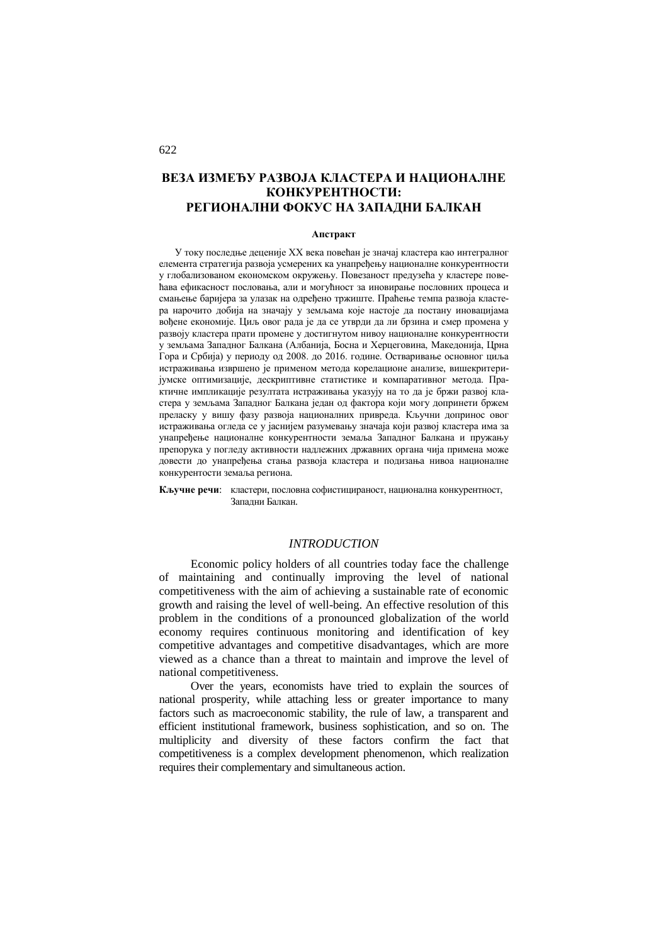# **ВЕЗА ИЗМЕЂУ РАЗВОЈА КЛАСТЕРА И НАЦИОНАЛНЕ КОНКУРЕНТНОСТИ: РЕГИОНАЛНИ ФОКУС НА ЗАПАДНИ БАЛКАН**

#### **Апстракт**

У току последње деценије XX века повећан је значај кластера као интегралног елемента стратегија развоја усмерених ка унапређењу националне конкурентности у глобализованом економском окружењу. Повезаност предузећа у кластере повећава ефикасност пословања, али и могућност за иновирање пословних процеса и смањење баријера за улазак на одређено тржиште. Праћење темпа развоја кластера нарочито добија на значају у земљама које настоје да постану иновацијама вођене економије. Циљ овог рада је да се утврди да ли брзина и смер промена у развоју кластера прати промене у достигнутом нивоу националне конкурентности у земљама Западног Балкана (Албанија, Босна и Херцеговина, Македонија, Црна Гора и Србија) у периоду од 2008. до 2016. године. Остваривање основног циља истраживања извршено је применом метода корелационе анализе, вишекритеријумске оптимизације, дескриптивне статистике и компаративног метода. Практичне импликације резултата истраживања указују на то да је бржи развој кластера у земљама Западног Балкана један од фактора који могу допринети бржем преласку у вишу фазу развоја националних привреда. Кључни допринос овог истраживања огледа се у јаснијем разумевању значаја који развој кластера има за унапређење националне конкурентности земаља Западног Балкана и пружању препорука у погледу активности надлежних државних органа чија примена може довести до унапређења стања развоја кластера и подизања нивоа националне конкурентости земаља региона.

**Кључне речи**: кластери, пословна софистицираност, национална конкурентност, Западни Балкан.

### *INTRODUCTION*

Economic policy holders of all countries today face the challenge of maintaining and continually improving the level of national competitiveness with the aim of achieving a sustainable rate of economic growth and raising the level of well-being. An effective resolution of this problem in the conditions of a pronounced globalization of the world economy requires continuous monitoring and identification of key competitive advantages and competitive disadvantages, which are more viewed as a chance than a threat to maintain and improve the level of national competitiveness.

Over the years, economists have tried to explain the sources of national prosperity, while attaching less or greater importance to many factors such as macroeconomic stability, the rule of law, a transparent and efficient institutional framework, business sophistication, and so on. The multiplicity and diversity of these factors confirm the fact that competitiveness is a complex development phenomenon, which realization requires their complementary and simultaneous action.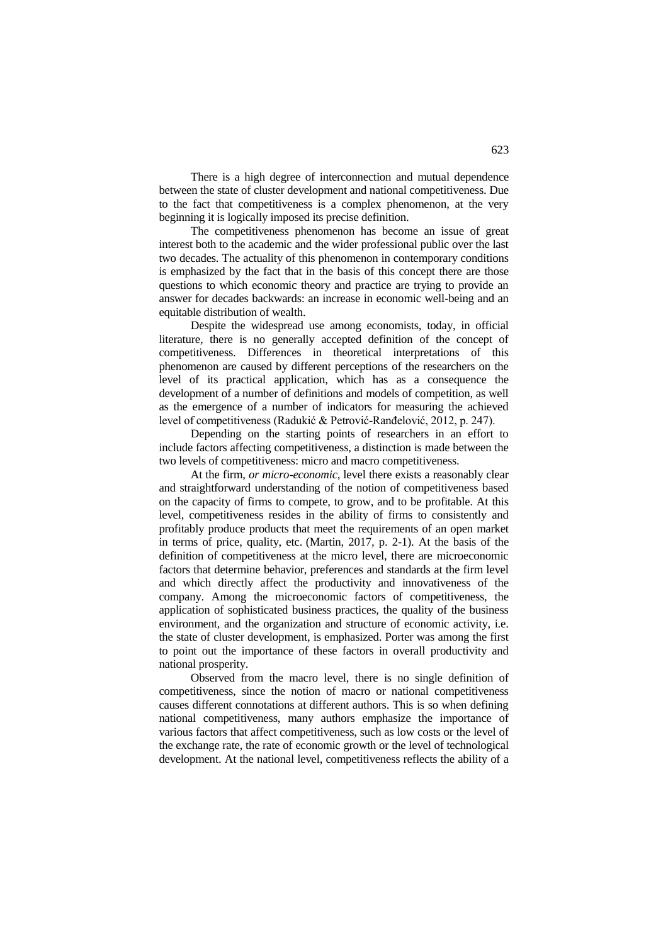There is a high degree of interconnection and mutual dependence between the state of cluster development and national competitiveness. Due to the fact that competitiveness is a complex phenomenon, at the very beginning it is logically imposed its precise definition.

The competitiveness phenomenon has become an issue of great interest both to the academic and the wider professional public over the last two decades. The actuality of this phenomenon in contemporary conditions is emphasized by the fact that in the basis of this concept there are those questions to which economic theory and practice are trying to provide an answer for decades backwards: an increase in economic well-being and an equitable distribution of wealth.

Despite the widespread use among economists, today, in official literature, there is no generally accepted definition of the concept of competitiveness. Differences in theoretical interpretations of this phenomenon are caused by different perceptions of the researchers on the level of its practical application, which has as a consequence the development of a number of definitions and models of competition, as well as the emergence of a number of indicators for measuring the achieved level of competitiveness (Radukić & Petrović-Ranđelović, 2012, p. 247).

Depending on the starting points of researchers in an effort to include factors affecting competitiveness, a distinction is made between the two levels of competitiveness: micro and macro competitiveness.

At the firm, *or micro-economic*, level there exists a reasonably clear and straightforward understanding of the notion of competitiveness based on the capacity of firms to compete, to grow, and to be profitable. At this level, competitiveness resides in the ability of firms to consistently and profitably produce products that meet the requirements of an open market in terms of price, quality, etc. (Martin, 2017, p. 2-1). At the basis of the definition of competitiveness at the micro level, there are microeconomic factors that determine behavior, preferences and standards at the firm level and which directly affect the productivity and innovativeness of the company. Among the microeconomic factors of competitiveness, the application of sophisticated business practices, the quality of the business environment, and the organization and structure of economic activity, i.e. the state of cluster development, is emphasized. Porter was among the first to point out the importance of these factors in overall productivity and national prosperity.

Observed from the macro level, there is no single definition of competitiveness, since the notion of macro or national competitiveness causes different connotations at different authors. This is so when defining national competitiveness, many authors emphasize the importance of various factors that affect competitiveness, such as low costs or the level of the exchange rate, the rate of economic growth or the level of technological development. At the national level, competitiveness reflects the ability of a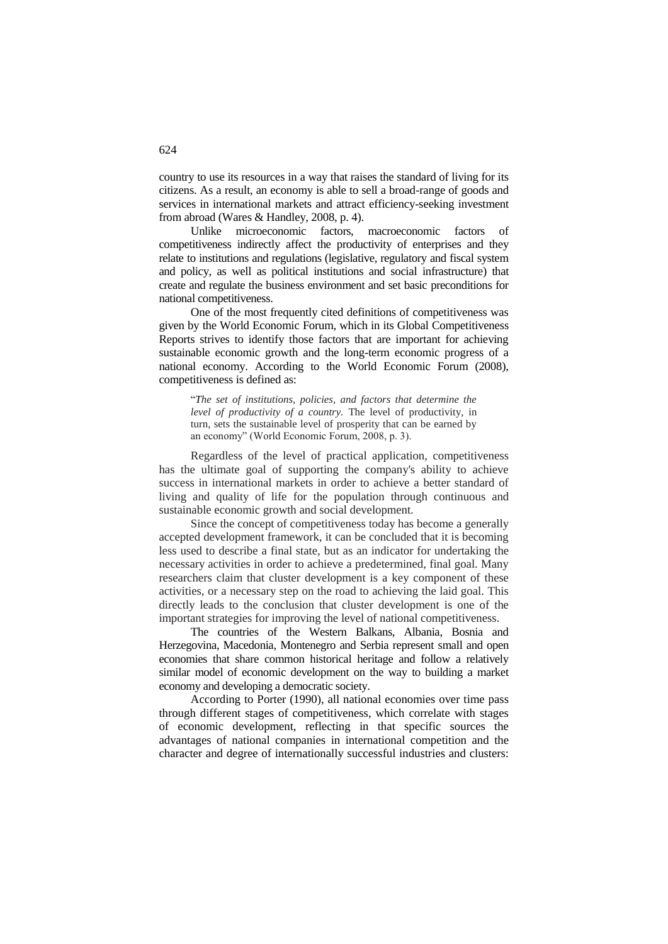country to use its resources in a way that raises the standard of living for its citizens. As a result, an economy is able to sell a broad-range of goods and services in international markets and attract efficiency-seeking investment from abroad (Wares & Handley, 2008, p. 4).

Unlike microeconomic factors, macroeconomic factors of competitiveness indirectly affect the productivity of enterprises and they relate to institutions and regulations (legislative, regulatory and fiscal system and policy, as well as political institutions and social infrastructure) that create and regulate the business environment and set basic preconditions for national competitiveness.

One of the most frequently cited definitions of competitiveness was given by the World Economic Forum, which in its Global Competitiveness Reports strives to identify those factors that are important for achieving sustainable economic growth and the long-term economic progress of a national economy. According to the World Economic Forum (2008), competitiveness is defined as:

"*The set of institutions, policies, and factors that determine the level of productivity of a country.* The level of productivity, in turn, sets the sustainable level of prosperity that can be earned by an economy" (World Economic Forum, 2008, p. 3).

Regardless of the level of practical application, competitiveness has the ultimate goal of supporting the company's ability to achieve success in international markets in order to achieve a better standard of living and quality of life for the population through continuous and sustainable economic growth and social development.

Since the concept of competitiveness today has become a generally accepted development framework, it can be concluded that it is becoming less used to describe a final state, but as an indicator for undertaking the necessary activities in order to achieve a predetermined, final goal. Many researchers claim that cluster development is a key component of these activities, or a necessary step on the road to achieving the laid goal. This directly leads to the conclusion that cluster development is one of the important strategies for improving the level of national competitiveness.

The countries of the Western Balkans, Albania, Bosnia and Herzegovina, Macedonia, Montenegro and Serbia represent small and open economies that share common historical heritage and follow a relatively similar model of economic development on the way to building a market economy and developing a democratic society.

According to Porter (1990), all national economies over time pass through different stages of competitiveness, which correlate with stages of economic development, reflecting in that specific sources the advantages of national companies in international competition and the character and degree of internationally successful industries and clusters: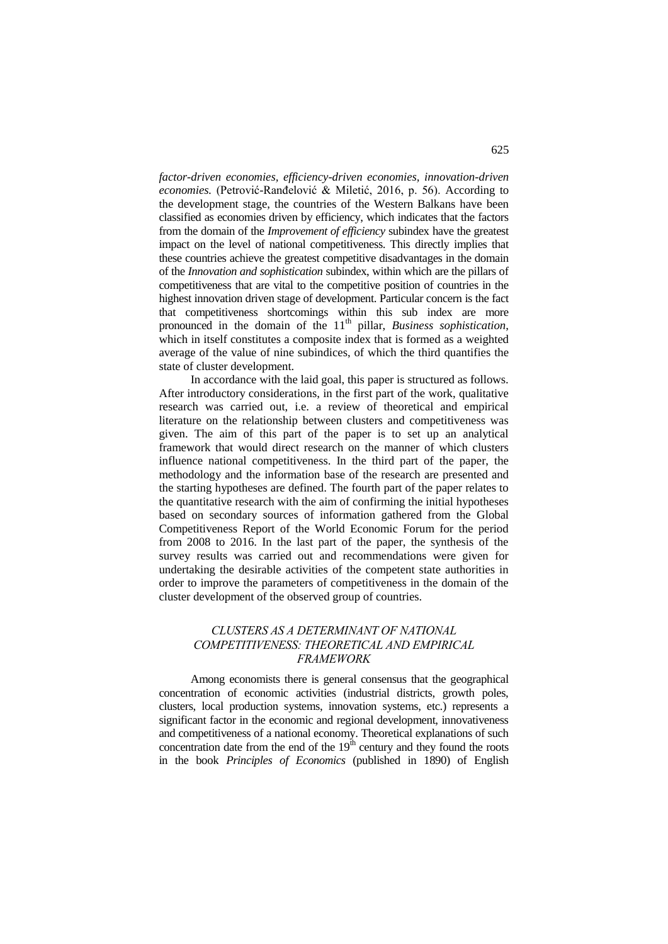*factor-driven economies, efficiency-driven economies, innovation-driven economies.* (Petrović-Ranđelović & Miletić, 2016, p. 56). According to the development stage, the countries of the Western Balkans have been classified as economies driven by efficiency, which indicates that the factors from the domain of the *Improvement of efficiency* subindex have the greatest impact on the level of national competitiveness. This directly implies that these countries achieve the greatest competitive disadvantages in the domain of the *Innovation and sophistication* subindex, within which are the pillars of competitiveness that are vital to the competitive position of countries in the highest innovation driven stage of development. Particular concern is the fact that competitiveness shortcomings within this sub index are more pronounced in the domain of the 11<sup>th</sup> pillar, *Business sophistication*, which in itself constitutes a composite index that is formed as a weighted average of the value of nine subindices, of which the third quantifies the state of cluster development.

In accordance with the laid goal, this paper is structured as follows. After introductory considerations, in the first part of the work, qualitative research was carried out, i.e. a review of theoretical and empirical literature on the relationship between clusters and competitiveness was given. The aim of this part of the paper is to set up an analytical framework that would direct research on the manner of which clusters influence national competitiveness. In the third part of the paper, the methodology and the information base of the research are presented and the starting hypotheses are defined. The fourth part of the paper relates to the quantitative research with the aim of confirming the initial hypotheses based on secondary sources of information gathered from the Global Competitiveness Report of the World Economic Forum for the period from 2008 to 2016. In the last part of the paper, the synthesis of the survey results was carried out and recommendations were given for undertaking the desirable activities of the competent state authorities in order to improve the parameters of competitiveness in the domain of the cluster development of the observed group of countries.

## *CLUSTERS AS A DETERMINANT OF NATIONAL COMPETITIVENESS: THEORETICAL AND EMPIRICAL FRAMEWORK*

Among economists there is general consensus that the geographical concentration of economic activities (industrial districts, growth poles, clusters, local production systems, innovation systems, etc.) represents a significant factor in the economic and regional development, innovativeness and competitiveness of a national economy. Theoretical explanations of such concentration date from the end of the  $19<sup>th</sup>$  century and they found the roots in the book *Principles of Economics* (published in 1890) of English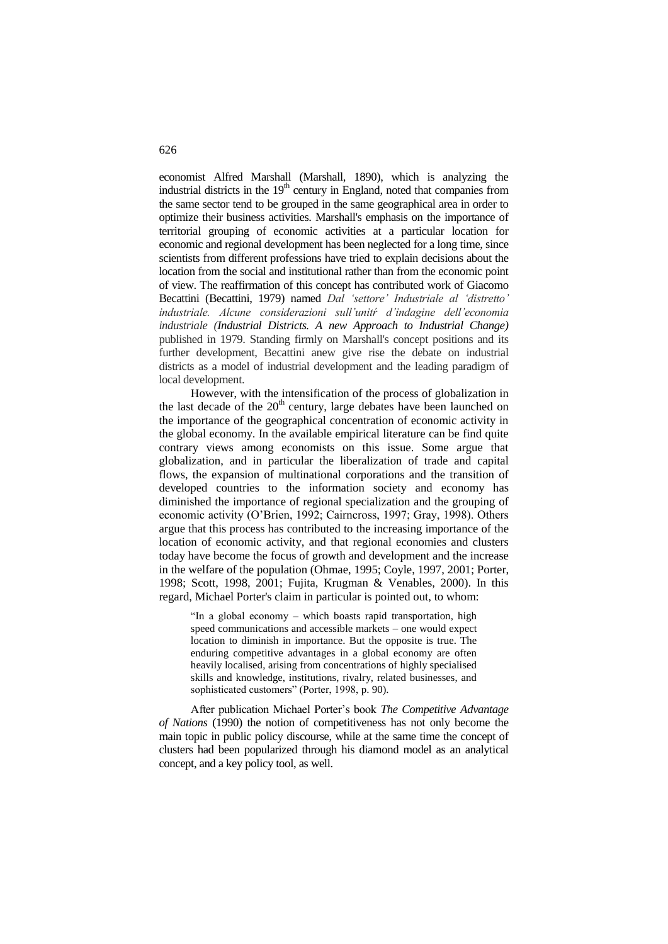economist Alfred Marshall (Marshall, 1890), which is analyzing the industrial districts in the  $19<sup>th</sup>$  century in England, noted that companies from the same sector tend to be grouped in the same geographical area in order to optimize their business activities. Marshall's emphasis on the importance of territorial grouping of economic activities at a particular location for economic and regional development has been neglected for a long time, since scientists from different professions have tried to explain decisions about the location from the social and institutional rather than from the economic point of view. The reaffirmation of this concept has contributed work of Giacomo Becattini (Becattini, 1979) named *Dal 'settore' Industriale al 'distretto' industriale. Alcune considerazioni sull'unitŕ d'indagine dell'economia industriale (Industrial Districts. A new Approach to Industrial Change)*  published in 1979. Standing firmly on Marshall's concept positions and its further development, Becattini anew give rise the debate on industrial districts as a model of industrial development and the leading paradigm of local development.

However, with the intensification of the process of globalization in the last decade of the  $20<sup>th</sup>$  century, large debates have been launched on the importance of the geographical concentration of economic activity in the global economy. In the available empirical literature can be find quite contrary views among economists on this issue. Some argue that globalization, and in particular the liberalization of trade and capital flows, the expansion of multinational corporations and the transition of developed countries to the information society and economy has diminished the importance of regional specialization and the grouping of economic activity (O'Brien, 1992; Cairncross, 1997; Gray, 1998). Others argue that this process has contributed to the increasing importance of the location of economic activity, and that regional economies and clusters today have become the focus of growth and development and the increase in the welfare of the population (Ohmae, 1995; Coyle, 1997, 2001; Porter, 1998; Scott, 1998, 2001; Fujita, Krugman & Venables, 2000). In this regard, Michael Porter's claim in particular is pointed out, to whom:

"In a global economy – which boasts rapid transportation, high speed communications and accessible markets – one would expect location to diminish in importance. But the opposite is true. The enduring competitive advantages in a global economy are often heavily localised, arising from concentrations of highly specialised skills and knowledge, institutions, rivalry, related businesses, and sophisticated customers" (Porter, 1998, p. 90).

After publication Michael Porter's book *The Competitive Advantage of Nations* (1990) the notion of competitiveness has not only become the main topic in public policy discourse, while at the same time the concept of clusters had been popularized through his diamond model as an analytical concept, and a key policy tool, as well.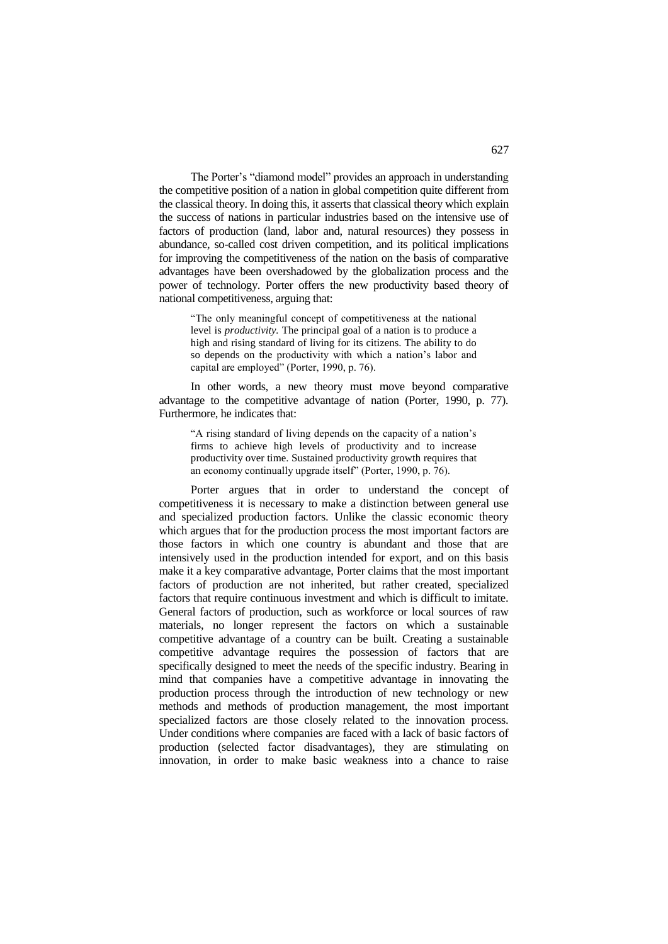The Porter's "diamond model" provides an approach in understanding the competitive position of a nation in global competition quite different from the classical theory. In doing this, it asserts that classical theory which explain the success of nations in particular industries based on the intensive use of factors of production (land, labor and, natural resources) they possess in abundance, so-called cost driven competition, and its political implications for improving the competitiveness of the nation on the basis of comparative advantages have been overshadowed by the globalization process and the power of technology. Porter offers the new productivity based theory of national competitiveness, arguing that:

"The only meaningful concept of competitiveness at the national level is *productivity.* The principal goal of a nation is to produce a high and rising standard of living for its citizens. The ability to do so depends on the productivity with which a nation's labor and capital are employed" (Porter, 1990, p. 76).

In other words, a new theory must move beyond comparative advantage to the competitive advantage of nation (Porter, 1990, p. 77). Furthermore, he indicates that:

"A rising standard of living depends on the capacity of a nation's firms to achieve high levels of productivity and to increase productivity over time. Sustained productivity growth requires that an economy continually upgrade itself" (Porter, 1990, p. 76).

Porter argues that in order to understand the concept of competitiveness it is necessary to make a distinction between general use and specialized production factors. Unlike the classic economic theory which argues that for the production process the most important factors are those factors in which one country is abundant and those that are intensively used in the production intended for export, and on this basis make it a key comparative advantage, Porter claims that the most important factors of production are not inherited, but rather created, specialized factors that require continuous investment and which is difficult to imitate. General factors of production, such as workforce or local sources of raw materials, no longer represent the factors on which a sustainable competitive advantage of a country can be built. Creating a sustainable competitive advantage requires the possession of factors that are specifically designed to meet the needs of the specific industry. Bearing in mind that companies have a competitive advantage in innovating the production process through the introduction of new technology or new methods and methods of production management, the most important specialized factors are those closely related to the innovation process. Under conditions where companies are faced with a lack of basic factors of production (selected factor disadvantages), they are stimulating on innovation, in order to make basic weakness into a chance to raise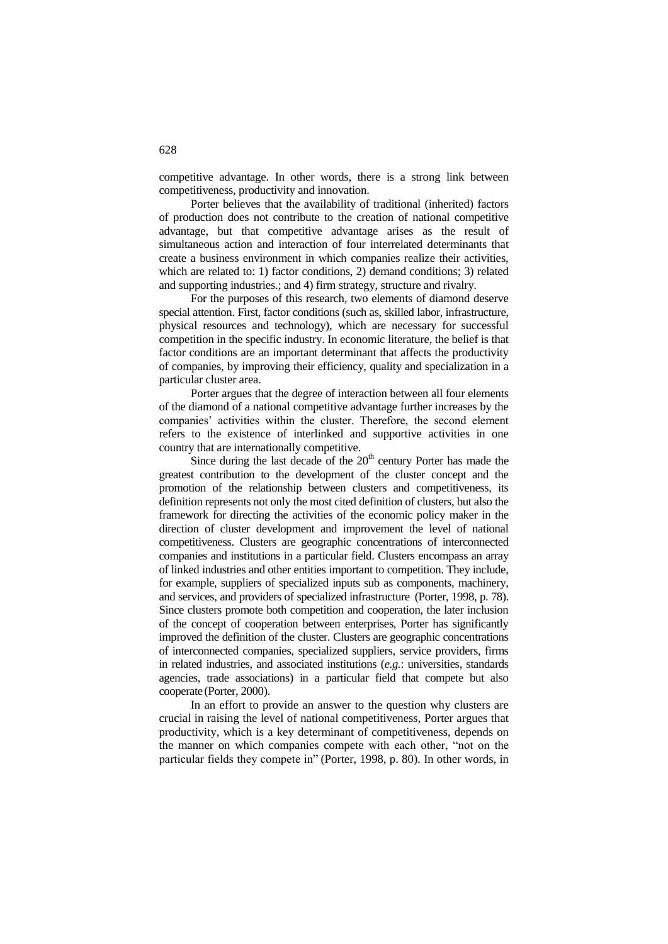competitive advantage. In other words, there is a strong link between competitiveness, productivity and innovation.

Porter believes that the availability of traditional (inherited) factors of production does not contribute to the creation of national competitive advantage, but that competitive advantage arises as the result of simultaneous action and interaction of four interrelated determinants that create a business environment in which companies realize their activities, which are related to: 1) factor conditions, 2) demand conditions; 3) related and supporting industries.; and 4) firm strategy, structure and rivalry.

For the purposes of this research, two elements of diamond deserve special attention. First, factor conditions (such as, skilled labor, infrastructure, physical resources and technology), which are necessary for successful competition in the specific industry. In economic literature, the belief is that factor conditions are an important determinant that affects the productivity of companies, by improving their efficiency, quality and specialization in a particular cluster area.

Porter argues that the degree of interaction between all four elements of the diamond of a national competitive advantage further increases by the companies' activities within the cluster. Therefore, the second element refers to the existence of interlinked and supportive activities in one country that are internationally competitive.

Since during the last decade of the  $20<sup>th</sup>$  century Porter has made the greatest contribution to the development of the cluster concept and the promotion of the relationship between clusters and competitiveness, its definition represents not only the most cited definition of clusters, but also the framework for directing the activities of the economic policy maker in the direction of cluster development and improvement the level of national competitiveness. Clusters are geographic concentrations of interconnected companies and institutions in a particular field. Clusters encompass an array of linked industries and other entities important to competition. They include, for example, suppliers of specialized inputs sub as components, machinery, and services, and providers of specialized infrastructure (Porter, 1998, p. 78). Since clusters promote both competition and cooperation, the later inclusion of the concept of cooperation between enterprises, Porter has significantly improved the definition of the cluster. Clusters are geographic concentrations of interconnected companies, specialized suppliers, service providers, firms in related industries, and associated institutions (*e.g.*: universities, standards agencies, trade associations) in a particular field that compete but also cooperate (Porter, 2000).

In an effort to provide an answer to the question why clusters are crucial in raising the level of national competitiveness, Porter argues that productivity, which is a key determinant of competitiveness, depends on the manner on which companies compete with each other, "not on the particular fields they compete in" (Porter, 1998, p. 80). In other words, in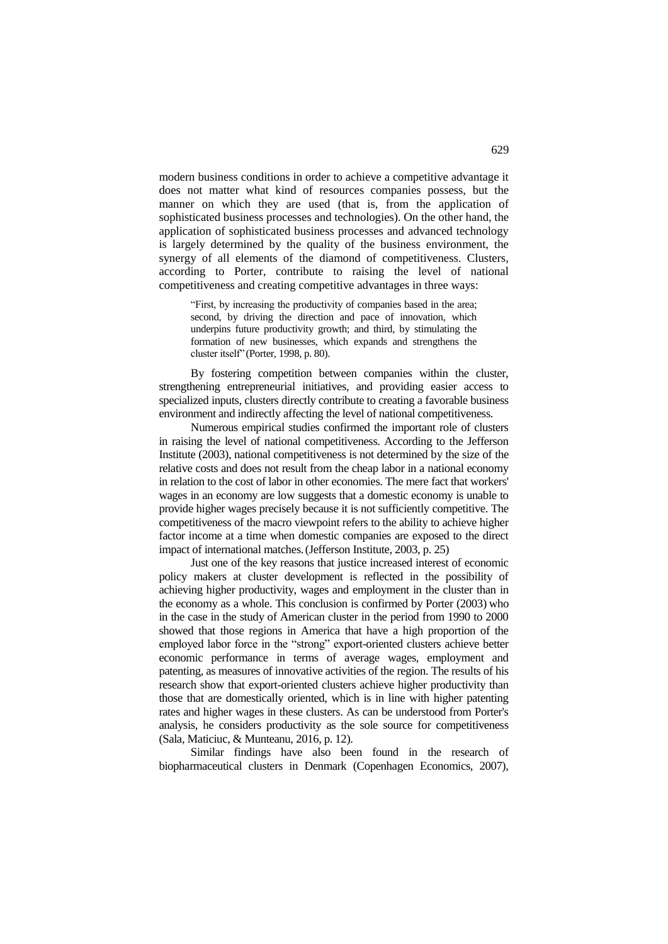modern business conditions in order to achieve a competitive advantage it does not matter what kind of resources companies possess, but the manner on which they are used (that is, from the application of sophisticated business processes and technologies). On the other hand, the application of sophisticated business processes and advanced technology is largely determined by the quality of the business environment, the synergy of all elements of the diamond of competitiveness. Clusters, according to Porter, contribute to raising the level of national competitiveness and creating competitive advantages in three ways:

"First, by increasing the productivity of companies based in the area; second, by driving the direction and pace of innovation, which underpins future productivity growth; and third, by stimulating the formation of new businesses, which expands and strengthens the cluster itself" (Porter, 1998, p. 80).

By fostering competition between companies within the cluster, strengthening entrepreneurial initiatives, and providing easier access to specialized inputs, clusters directly contribute to creating a favorable business environment and indirectly affecting the level of national competitiveness.

Numerous empirical studies confirmed the important role of clusters in raising the level of national competitiveness. According to the Jefferson Institute (2003), national competitiveness is not determined by the size of the relative costs and does not result from the cheap labor in a national economy in relation to the cost of labor in other economies. The mere fact that workers' wages in an economy are low suggests that a domestic economy is unable to provide higher wages precisely because it is not sufficiently competitive. The competitiveness of the macro viewpoint refers to the ability to achieve higher factor income at a time when domestic companies are exposed to the direct impact of international matches.(Jefferson Institute, 2003, p. 25)

Just one of the key reasons that justice increased interest of economic policy makers at cluster development is reflected in the possibility of achieving higher productivity, wages and employment in the cluster than in the economy as a whole. This conclusion is confirmed by Porter (2003) who in the case in the study of American cluster in the period from 1990 to 2000 showed that those regions in America that have a high proportion of the employed labor force in the "strong" export-oriented clusters achieve better economic performance in terms of average wages, employment and patenting, as measures of innovative activities of the region. The results of his research show that export-oriented clusters achieve higher productivity than those that are domestically oriented, which is in line with higher patenting rates and higher wages in these clusters. As can be understood from Porter's analysis, he considers productivity as the sole source for competitiveness (Sala, Maticiuc, & Munteanu, 2016, p. 12).

Similar findings have also been found in the research of biopharmaceutical clusters in Denmark (Copenhagen Economics, 2007),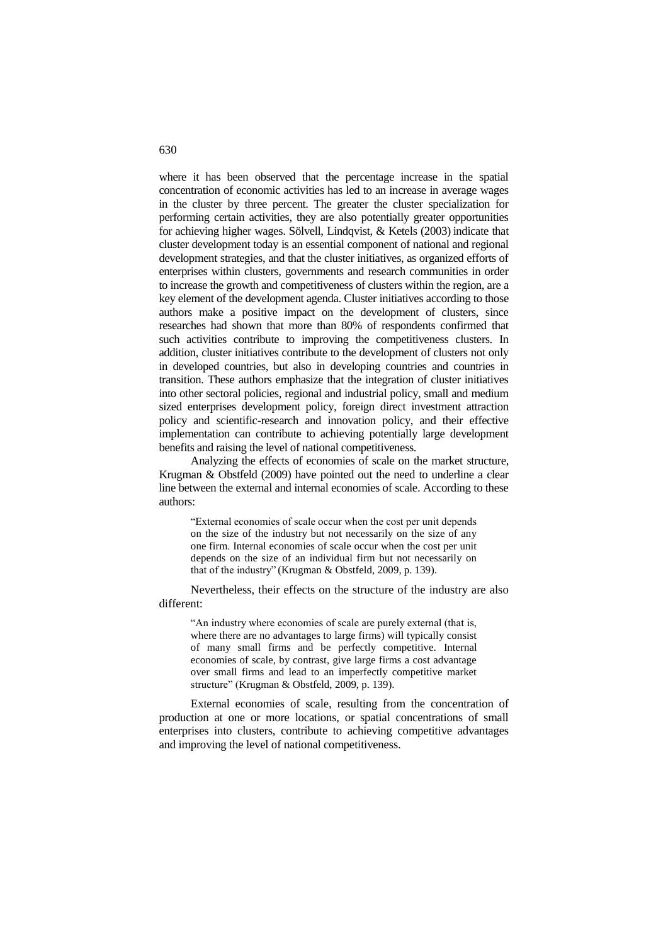where it has been observed that the percentage increase in the spatial concentration of economic activities has led to an increase in average wages in the cluster by three percent. The greater the cluster specialization for performing certain activities, they are also potentially greater opportunities for achieving higher wages. Sölvell, Lindqvist, & Ketels (2003) indicate that cluster development today is an essential component of national and regional development strategies, and that the cluster initiatives, as organized efforts of enterprises within clusters, governments and research communities in order to increase the growth and competitiveness of clusters within the region, are a key element of the development agenda. Cluster initiatives according to those authors make a positive impact on the development of clusters, since researches had shown that more than 80% of respondents confirmed that such activities contribute to improving the competitiveness clusters. In addition, cluster initiatives contribute to the development of clusters not only in developed countries, but also in developing countries and countries in transition. These authors emphasize that the integration of cluster initiatives into other sectoral policies, regional and industrial policy, small and medium sized enterprises development policy, foreign direct investment attraction policy and scientific-research and innovation policy, and their effective implementation can contribute to achieving potentially large development benefits and raising the level of national competitiveness.

Analyzing the effects of economies of scale on the market structure, Krugman & Obstfeld (2009) have pointed out the need to underline a clear line between the external and internal economies of scale. According to these authors:

"External economies of scale occur when the cost per unit depends on the size of the industry but not necessarily on the size of any one firm. Internal economies of scale occur when the cost per unit depends on the size of an individual firm but not necessarily on that of the industry" (Krugman & Obstfeld, 2009, p. 139).

Nevertheless, their effects on the structure of the industry are also different:

"An industry where economies of scale are purely external (that is, where there are no advantages to large firms) will typically consist of many small firms and be perfectly competitive. Internal economies of scale, by contrast, give large firms a cost advantage over small firms and lead to an imperfectly competitive market structure" (Krugman & Obstfeld, 2009, p. 139).

External economies of scale, resulting from the concentration of production at one or more locations, or spatial concentrations of small enterprises into clusters, contribute to achieving competitive advantages and improving the level of national competitiveness.

#### 630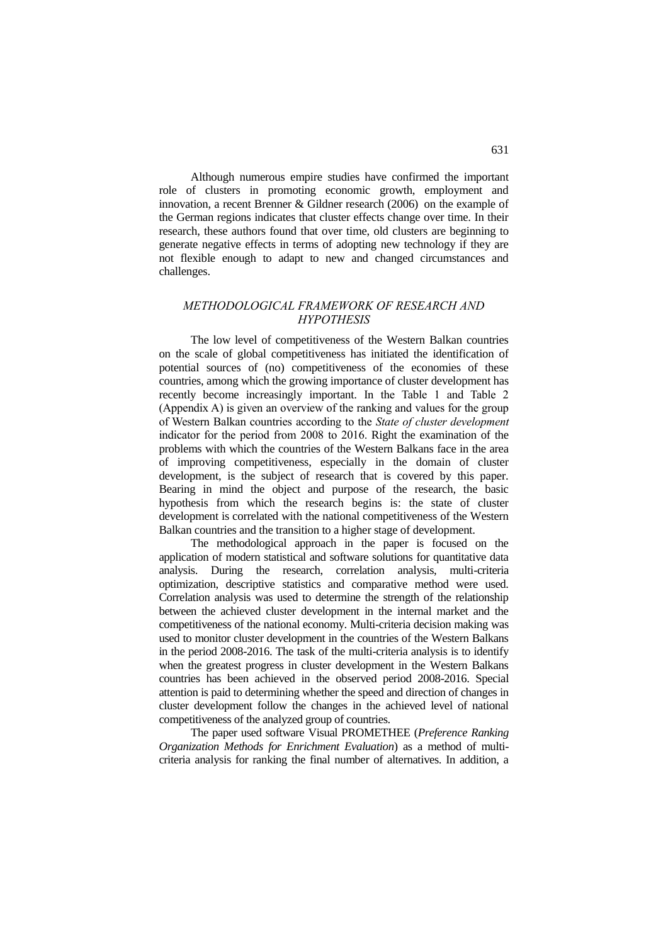Although numerous empire studies have confirmed the important role of clusters in promoting economic growth, employment and innovation, a recent Brenner & Gildner research (2006) on the example of the German regions indicates that cluster effects change over time. In their research, these authors found that over time, old clusters are beginning to generate negative effects in terms of adopting new technology if they are not flexible enough to adapt to new and changed circumstances and challenges.

## *METHODOLOGICAL FRAMEWORK OF RESEARCH AND HYPOTHESIS*

The low level of competitiveness of the Western Balkan countries on the scale of global competitiveness has initiated the identification of potential sources of (no) competitiveness of the economies of these countries, among which the growing importance of cluster development has recently become increasingly important. In the Table 1 and Table 2 (Appendix A) is given an overview of the ranking and values for the group of Western Balkan countries according to the *State of cluster development* indicator for the period from 2008 to 2016. Right the examination of the problems with which the countries of the Western Balkans face in the area of improving competitiveness, especially in the domain of cluster development, is the subject of research that is covered by this paper. Bearing in mind the object and purpose of the research, the basic hypothesis from which the research begins is: the state of cluster development is correlated with the national competitiveness of the Western Balkan countries and the transition to a higher stage of development.

The methodological approach in the paper is focused on the application of modern statistical and software solutions for quantitative data analysis. During the research, correlation analysis, multi-criteria optimization, descriptive statistics and comparative method were used. Correlation analysis was used to determine the strength of the relationship between the achieved cluster development in the internal market and the competitiveness of the national economy. Multi-criteria decision making was used to monitor cluster development in the countries of the Western Balkans in the period 2008-2016. The task of the multi-criteria analysis is to identify when the greatest progress in cluster development in the Western Balkans countries has been achieved in the observed period 2008-2016. Special attention is paid to determining whether the speed and direction of changes in cluster development follow the changes in the achieved level of national competitiveness of the analyzed group of countries.

The paper used software Visual PROMETHEE (*Preference Ranking Organization Methods for Enrichment Evaluation*) as a method of multicriteria analysis for ranking the final number of alternatives. In addition, a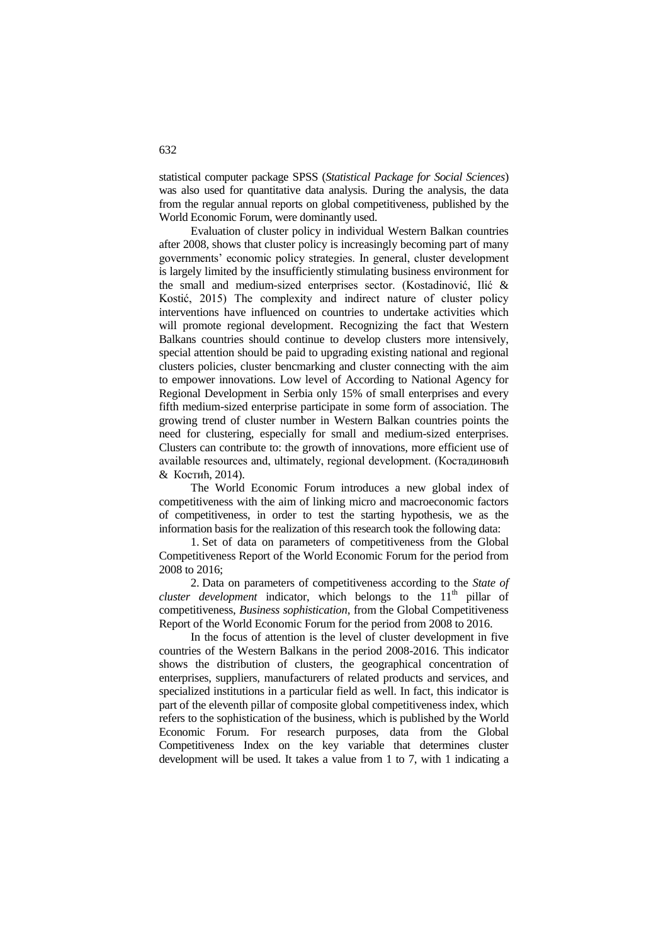statistical computer package SPSS (*Statistical Package for Social Sciences*) was also used for quantitative data analysis. During the analysis, the data from the regular annual reports on global competitiveness, published by the World Economic Forum, were dominantly used.

Evaluation of cluster policy in individual Western Balkan countries after 2008, shows that cluster policy is increasingly becoming part of many governments' economic policy strategies. In general, cluster development is largely limited by the insufficiently stimulating business environment for the small and medium-sized enterprises sector. (Kostadinović, Ilić & Kostić, 2015) The complexity and indirect nature of cluster policy interventions have influenced on countries to undertake activities which will promote regional development. Recognizing the fact that Western Balkans countries should continue to develop clusters more intensively, special attention should be paid to upgrading existing national and regional clusters policies, cluster bencmarking and cluster connecting with the aim to empower innovations. Low level of According to National Agency for Regional Development in Serbia only 15% of small enterprises and every fifth medium-sized enterprise participate in some form of association. The growing trend of cluster number in Western Balkan countries points the need for clustering, especially for small and medium-sized enterprises. Clusters can contribute to: the growth of innovations, more efficient use of available resources and, ultimately, regional development. (Костадиновић & Костић, 2014).

The World Economic Forum introduces a new global index of competitiveness with the aim of linking micro and macroeconomic factors of competitiveness, in order to test the starting hypothesis, we as the information basis for the realization of this research took the following data:

1. Set of data on parameters of competitiveness from the Global Competitiveness Report of the World Economic Forum for the period from 2008 to 2016;

2. Data on parameters of competitiveness according to the *State of cluster development* indicator, which belongs to the  $11<sup>th</sup>$  pillar of competitiveness, *Business sophistication*, from the Global Competitiveness Report of the World Economic Forum for the period from 2008 to 2016.

In the focus of attention is the level of cluster development in five countries of the Western Balkans in the period 2008-2016. This indicator shows the distribution of clusters, the geographical concentration of enterprises, suppliers, manufacturers of related products and services, and specialized institutions in a particular field as well. In fact, this indicator is part of the eleventh pillar of composite global competitiveness index, which refers to the sophistication of the business, which is published by the World Economic Forum. For research purposes, data from the Global Competitiveness Index on the key variable that determines cluster development will be used. It takes a value from 1 to 7, with 1 indicating a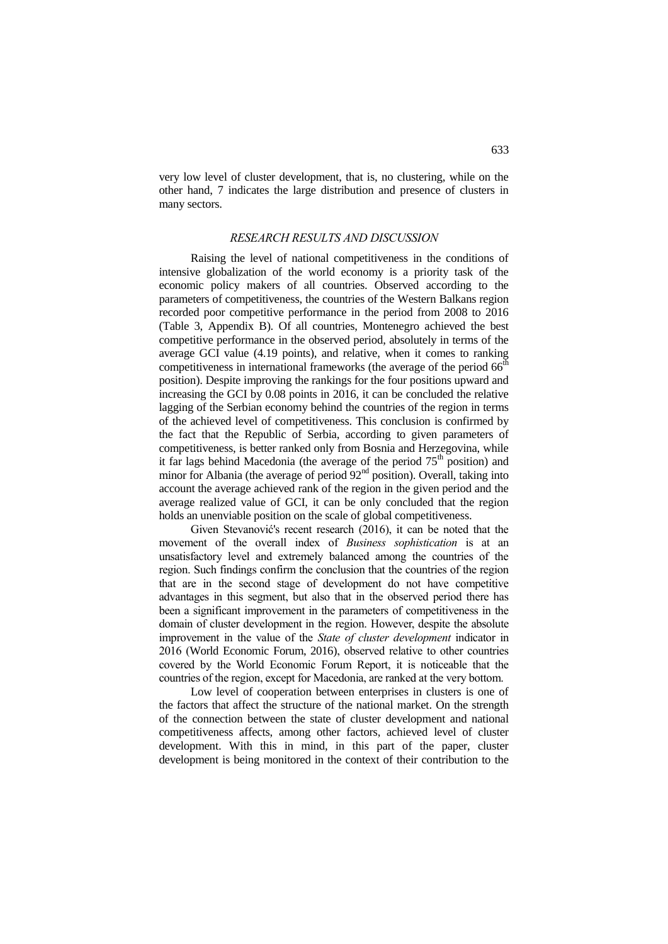very low level of cluster development, that is, no clustering, while on the other hand, 7 indicates the large distribution and presence of clusters in many sectors.

## *RESEARCH RESULTS AND DISCUSSION*

Raising the level of national competitiveness in the conditions of intensive globalization of the world economy is a priority task of the economic policy makers of all countries. Observed according to the parameters of competitiveness, the countries of the Western Balkans region recorded poor competitive performance in the period from 2008 to 2016 (Table 3, Appendix B). Of all countries, Montenegro achieved the best competitive performance in the observed period, absolutely in terms of the average GCI value (4.19 points), and relative, when it comes to ranking competitiveness in international frameworks (the average of the period  $66<sup>th</sup>$ position). Despite improving the rankings for the four positions upward and increasing the GCI by 0.08 points in 2016, it can be concluded the relative lagging of the Serbian economy behind the countries of the region in terms of the achieved level of competitiveness. This conclusion is confirmed by the fact that the Republic of Serbia, according to given parameters of competitiveness, is better ranked only from Bosnia and Herzegovina, while it far lags behind Macedonia (the average of the period  $75<sup>th</sup>$  position) and minor for Albania (the average of period  $92<sup>nd</sup>$  position). Overall, taking into account the average achieved rank of the region in the given period and the average realized value of GCI, it can be only concluded that the region holds an unenviable position on the scale of global competitiveness.

Given Stevanović's recent research (2016), it can be noted that the movement of the overall index of *Business sophistication* is at an unsatisfactory level and extremely balanced among the countries of the region. Such findings confirm the conclusion that the countries of the region that are in the second stage of development do not have competitive advantages in this segment, but also that in the observed period there has been a significant improvement in the parameters of competitiveness in the domain of cluster development in the region. However, despite the absolute improvement in the value of the *State of cluster development* indicator in 2016 (World Economic Forum, 2016), observed relative to other countries covered by the World Economic Forum Report, it is noticeable that the countries of the region, except for Macedonia, are ranked at the very bottom.

Low level of cooperation between enterprises in clusters is one of the factors that affect the structure of the national market. On the strength of the connection between the state of cluster development and national competitiveness affects, among other factors, achieved level of cluster development. With this in mind, in this part of the paper, cluster development is being monitored in the context of their contribution to the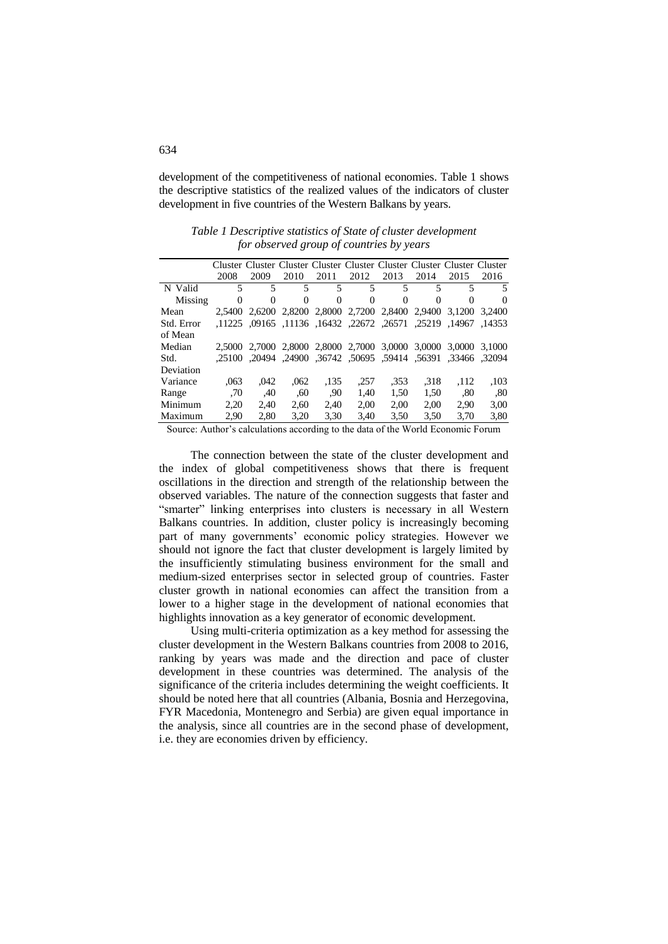development of the competitiveness of national economies. Table 1 shows the descriptive statistics of the realized values of the indicators of cluster development in five countries of the Western Balkans by years.

|            |          |          |      |          |                                           |      |          | Cluster Cluster Cluster Cluster Cluster Cluster Cluster Cluster Cluster |        |
|------------|----------|----------|------|----------|-------------------------------------------|------|----------|-------------------------------------------------------------------------|--------|
|            | 2008     | 2009     | 2010 | 2011     | 2012                                      | 2013 | 2014     | 2015                                                                    | 2016   |
| N Valid    | 5        | 5        | 5    | 5        | 5                                         | 5    | 5        | 5                                                                       | 5      |
| Missing    | $\Omega$ | $\theta$ | 0    | $\Omega$ | $\Omega$                                  | 0    | $\Omega$ | $\theta$                                                                | 0      |
| Mean       | 2.5400   |          |      |          | 2.6200 2.8200 2.8000 2.7200 2.8400        |      | 2.9400   | 3.1200                                                                  | 3.2400 |
| Std. Error |          |          |      |          | ,1225, 22672, 16432, 11136, 09165, 11225, |      |          | .25219. 14967. 25219.                                                   |        |
| of Mean    |          |          |      |          |                                           |      |          |                                                                         |        |
| Median     |          |          |      |          |                                           |      |          | 2,5000 2,7000 2,8000 2,8000 2,7000 3,0000 3,0000 3,0000 3,1000          |        |
| Std.       |          |          |      |          |                                           |      |          | ,2094, 33466, 55391 59414, 50695, 36742, 24900, 20494, 25100, 25100     |        |
| Deviation  |          |          |      |          |                                           |      |          |                                                                         |        |
| Variance   | .063     | .042     | .062 | .135     | .257                                      | .353 | .318     | .112                                                                    | ,103   |
| Range      | .70      | .40      | .60  | .90      | 1.40                                      | 1,50 | 1.50     | .80                                                                     | .80    |
| Minimum    | 2.20     | 2.40     | 2.60 | 2.40     | 2.00                                      | 2.00 | 2.00     | 2.90                                                                    | 3.00   |
| Maximum    | 2.90     | 2.80     | 3.20 | 3.30     | 3.40                                      | 3.50 | 3.50     | 3.70                                                                    | 3,80   |

*Table 1 Descriptive statistics of State of cluster development for observed group of countries by years*

Source: Author's calculations according to the data of the World Economic Forum

The connection between the state of the cluster development and the index of global competitiveness shows that there is frequent oscillations in the direction and strength of the relationship between the observed variables. The nature of the connection suggests that faster and "smarter" linking enterprises into clusters is necessary in all Western Balkans countries. In addition, cluster policy is increasingly becoming part of many governments' economic policy strategies. However we should not ignore the fact that cluster development is largely limited by the insufficiently stimulating business environment for the small and medium-sized enterprises sector in selected group of countries. Faster cluster growth in national economies can affect the transition from a lower to a higher stage in the development of national economies that highlights innovation as a key generator of economic development.

Using multi-criteria optimization as a key method for assessing the cluster development in the Western Balkans countries from 2008 to 2016, ranking by years was made and the direction and pace of cluster development in these countries was determined. The analysis of the significance of the criteria includes determining the weight coefficients. It should be noted here that all countries (Albania, Bosnia and Herzegovina, FYR Macedonia, Montenegro and Serbia) are given equal importance in the analysis, since all countries are in the second phase of development, i.e. they are economies driven by efficiency.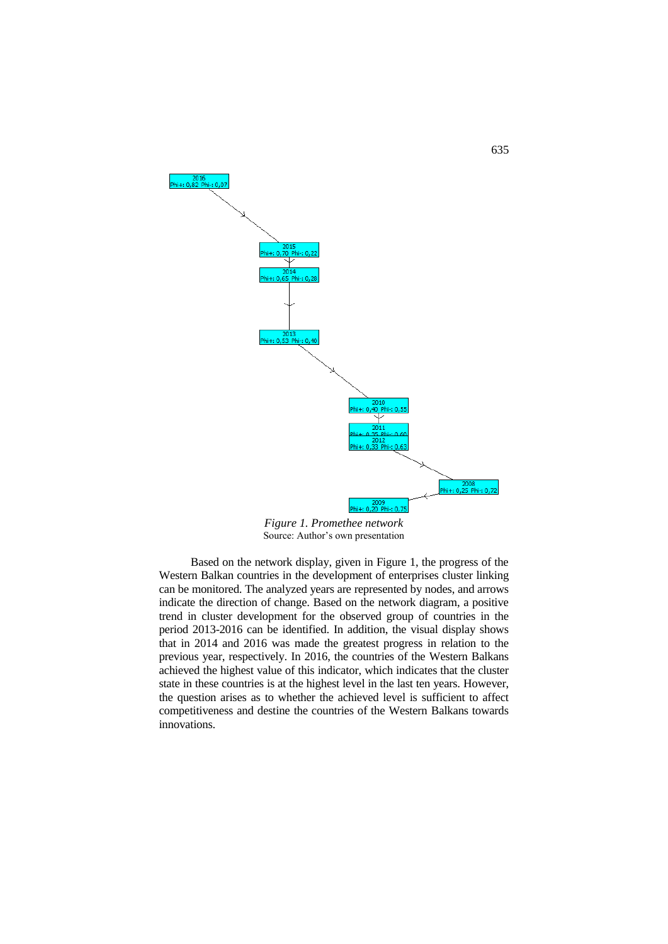

*Figure 1. Promethee network* Source: Author's own presentation

Based on the network display, given in Figure 1, the progress of the Western Balkan countries in the development of enterprises cluster linking can be monitored. The analyzed years are represented by nodes, and arrows indicate the direction of change. Based on the network diagram, a positive trend in cluster development for the observed group of countries in the period 2013-2016 can be identified. In addition, the visual display shows that in 2014 and 2016 was made the greatest progress in relation to the previous year, respectively. In 2016, the countries of the Western Balkans achieved the highest value of this indicator, which indicates that the cluster state in these countries is at the highest level in the last ten years. However, the question arises as to whether the achieved level is sufficient to affect competitiveness and destine the countries of the Western Balkans towards innovations.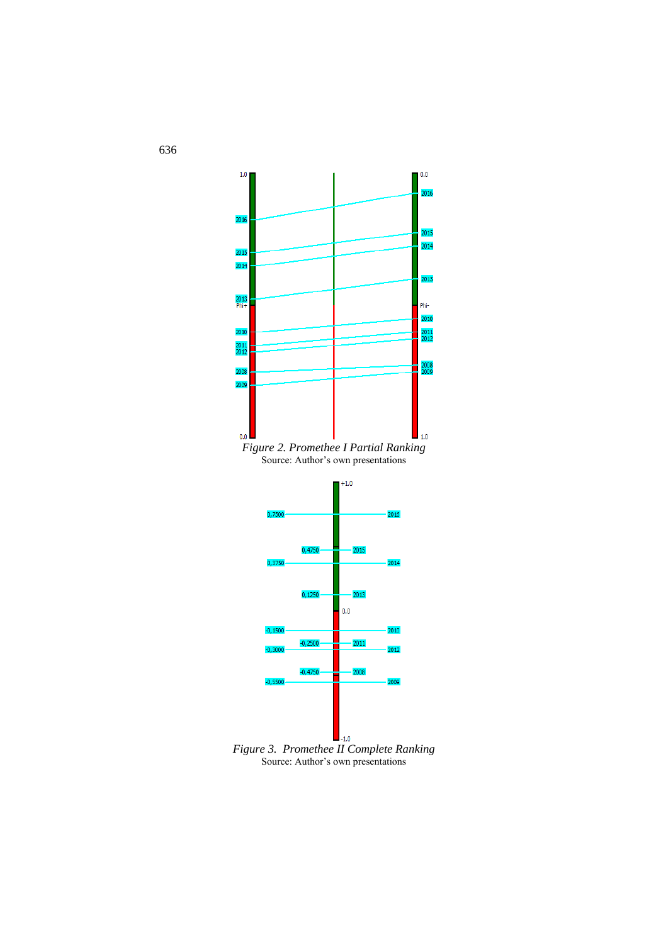





*Figure 3. Promethee II Complete Ranking* Source: Author's own presentations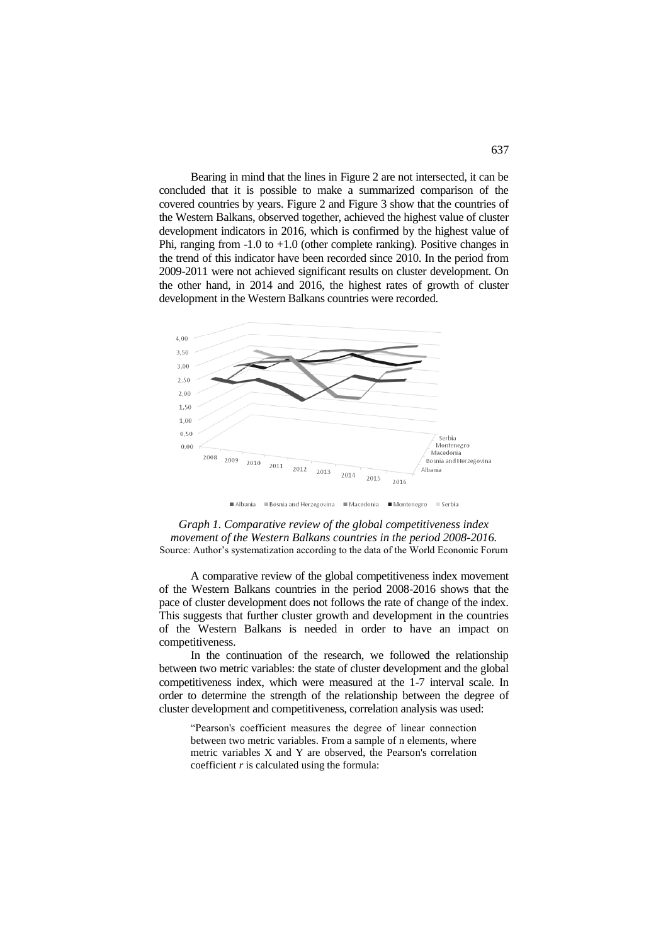Bearing in mind that the lines in Figure 2 are not intersected, it can be concluded that it is possible to make a summarized comparison of the covered countries by years. Figure 2 and Figure 3 show that the countries of the Western Balkans, observed together, achieved the highest value of cluster development indicators in 2016, which is confirmed by the highest value of Phi, ranging from -1.0 to +1.0 (other complete ranking). Positive changes in the trend of this indicator have been recorded since 2010. In the period from 2009-2011 were not achieved significant results on cluster development. On the other hand, in 2014 and 2016, the highest rates of growth of cluster development in the Western Balkans countries were recorded.



■Bosnia and Herzegovina ■Macedonia ■Montenegro ■Serbia Albania



A comparative review of the global competitiveness index movement of the Western Balkans countries in the period 2008-2016 shows that the pace of cluster development does not follows the rate of change of the index. This suggests that further cluster growth and development in the countries of the Western Balkans is needed in order to have an impact on competitiveness.

In the continuation of the research, we followed the relationship between two metric variables: the state of cluster development and the global competitiveness index, which were measured at the 1-7 interval scale. In order to determine the strength of the relationship between the degree of cluster development and competitiveness, correlation analysis was used:

"Pearson's coefficient measures the degree of linear connection between two metric variables. From a sample of n elements, where metric variables X and Y are observed, the Pearson's correlation coefficient *r* is calculated using the formula: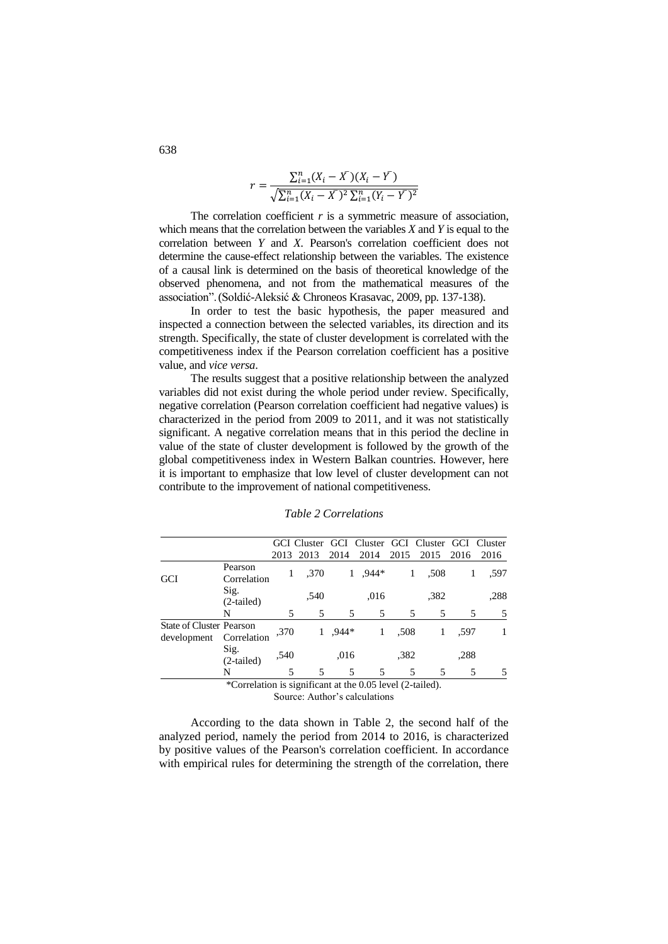$$
r = \frac{\sum_{i=1}^{n} (X_i - \overline{X})(X_i - \overline{Y})}{\sqrt{\sum_{i=1}^{n} (X_i - \overline{X})^2 \sum_{i=1}^{n} (Y_i - \overline{Y})^2}}
$$

The correlation coefficient *r* is a symmetric measure of association, which means that the correlation between the variables *X* and *Y* is equal to the correlation between *Y* and *X*. Pearson's correlation coefficient does not determine the cause-effect relationship between the variables. The existence of a causal link is determined on the basis of theoretical knowledge of the observed phenomena, and not from the mathematical measures of the association".(Soldić-Aleksić & Chroneos Krasavac, 2009, pp. 137-138).

In order to test the basic hypothesis, the paper measured and inspected a connection between the selected variables, its direction and its strength. Specifically, the state of cluster development is correlated with the competitiveness index if the Pearson correlation coefficient has a positive value, and *vice versa*.

The results suggest that a positive relationship between the analyzed variables did not exist during the whole period under review. Specifically, negative correlation (Pearson correlation coefficient had negative values) is characterized in the period from 2009 to 2011, and it was not statistically significant. A negative correlation means that in this period the decline in value of the state of cluster development is followed by the growth of the global competitiveness index in Western Balkan countries. However, here it is important to emphasize that low level of cluster development can not contribute to the improvement of national competitiveness.

|                                                           |                        | GCI Cluster |      |         | GCI Cluster GCI Cluster GCI |      |      |      | Cluster |  |
|-----------------------------------------------------------|------------------------|-------------|------|---------|-----------------------------|------|------|------|---------|--|
|                                                           |                        | 2013        | 2013 | 2014    | 2014                        | 2015 | 2015 | 2016 | 2016    |  |
| GCI                                                       | Pearson<br>Correlation | 1           | ,370 |         | 1.944*                      | 1    | .508 | 1    | .597    |  |
|                                                           | Sig.<br>$(2-tailed)$   |             | .540 |         | .016                        |      | .382 |      | .288    |  |
|                                                           | N                      | 5           | 5    | 5       | 5                           | 5    | 5    | 5    | 5       |  |
| <b>State of Cluster Pearson</b><br>development            | Correlation            | ,370        |      | $.944*$ | 1                           | .508 | 1    | .597 |         |  |
|                                                           | Sig.<br>$(2-tailed)$   | ,540        |      | .016    |                             | .382 |      | .288 |         |  |
|                                                           | N                      | 5           | 5    | 5       | 5                           | 5    | 5    | 5    | 5       |  |
| *Correlation is significant at the 0.05 level (2-tailed). |                        |             |      |         |                             |      |      |      |         |  |
| Source: Author's calculations                             |                        |             |      |         |                             |      |      |      |         |  |

*Table 2 Correlations*

According to the data shown in Table 2, the second half of the analyzed period, namely the period from 2014 to 2016, is characterized by positive values of the Pearson's correlation coefficient. In accordance with empirical rules for determining the strength of the correlation, there

638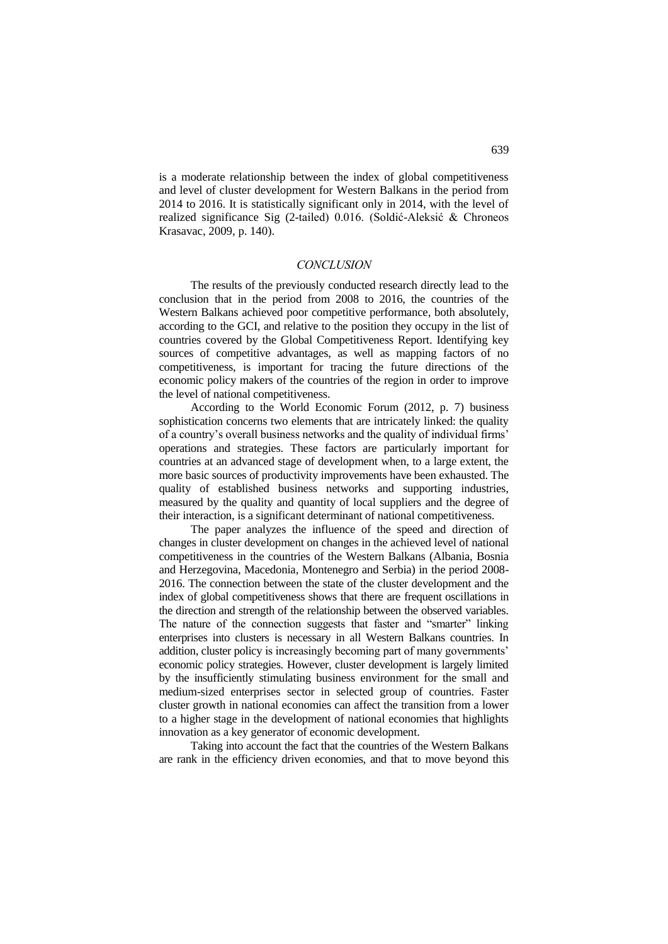is a moderate relationship between the index of global competitiveness and level of cluster development for Western Balkans in the period from 2014 to 2016. It is statistically significant only in 2014, with the level of realized significance Sig (2-tailed) 0.016. (Soldić-Aleksić & Chroneos Krasavac, 2009, p. 140).

### *CONCLUSION*

The results of the previously conducted research directly lead to the conclusion that in the period from 2008 to 2016, the countries of the Western Balkans achieved poor competitive performance, both absolutely, according to the GCI, and relative to the position they occupy in the list of countries covered by the Global Competitiveness Report. Identifying key sources of competitive advantages, as well as mapping factors of no competitiveness, is important for tracing the future directions of the economic policy makers of the countries of the region in order to improve the level of national competitiveness.

According to the World Economic Forum (2012, p. 7) business sophistication concerns two elements that are intricately linked: the quality of a country's overall business networks and the quality of individual firms' operations and strategies. These factors are particularly important for countries at an advanced stage of development when, to a large extent, the more basic sources of productivity improvements have been exhausted. The quality of established business networks and supporting industries, measured by the quality and quantity of local suppliers and the degree of their interaction, is a significant determinant of national competitiveness.

The paper analyzes the influence of the speed and direction of changes in cluster development on changes in the achieved level of national competitiveness in the countries of the Western Balkans (Albania, Bosnia and Herzegovina, Macedonia, Montenegro and Serbia) in the period 2008- 2016. The connection between the state of the cluster development and the index of global competitiveness shows that there are frequent oscillations in the direction and strength of the relationship between the observed variables. The nature of the connection suggests that faster and "smarter" linking enterprises into clusters is necessary in all Western Balkans countries. In addition, cluster policy is increasingly becoming part of many governments' economic policy strategies. However, cluster development is largely limited by the insufficiently stimulating business environment for the small and medium-sized enterprises sector in selected group of countries. Faster cluster growth in national economies can affect the transition from a lower to a higher stage in the development of national economies that highlights innovation as a key generator of economic development.

Taking into account the fact that the countries of the Western Balkans are rank in the efficiency driven economies, and that to move beyond this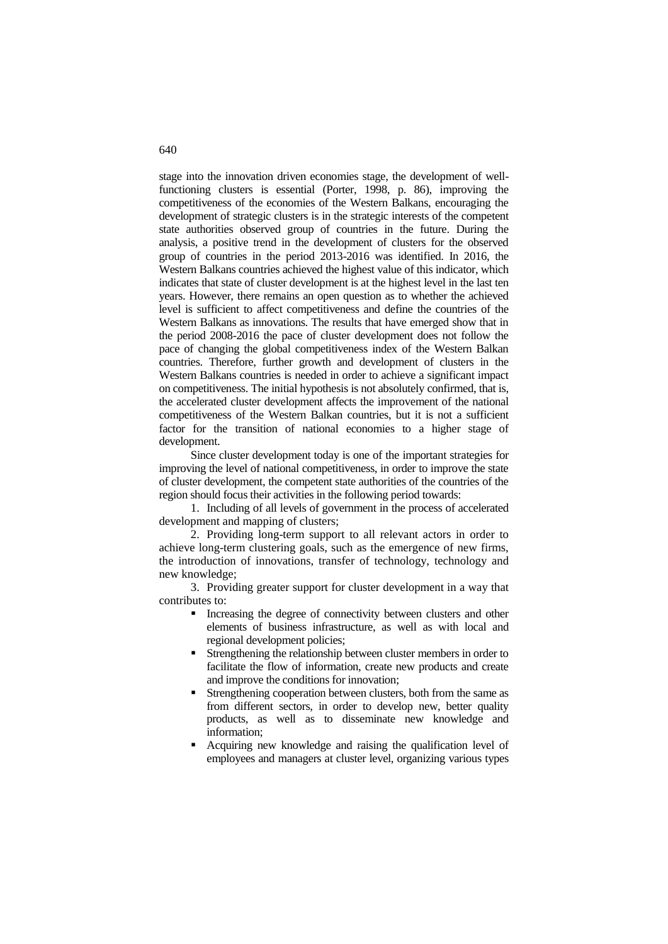stage into the innovation driven economies stage, the development of wellfunctioning clusters is essential (Porter, 1998, p. 86), improving the competitiveness of the economies of the Western Balkans, encouraging the development of strategic clusters is in the strategic interests of the competent state authorities observed group of countries in the future. During the analysis, a positive trend in the development of clusters for the observed group of countries in the period 2013-2016 was identified. In 2016, the Western Balkans countries achieved the highest value of this indicator, which indicates that state of cluster development is at the highest level in the last ten years. However, there remains an open question as to whether the achieved level is sufficient to affect competitiveness and define the countries of the Western Balkans as innovations. The results that have emerged show that in the period 2008-2016 the pace of cluster development does not follow the pace of changing the global competitiveness index of the Western Balkan countries. Therefore, further growth and development of clusters in the Western Balkans countries is needed in order to achieve a significant impact on competitiveness. The initial hypothesis is not absolutely confirmed, that is, the accelerated cluster development affects the improvement of the national competitiveness of the Western Balkan countries, but it is not a sufficient factor for the transition of national economies to a higher stage of development.

Since cluster development today is one of the important strategies for improving the level of national competitiveness, in order to improve the state of cluster development, the competent state authorities of the countries of the region should focus their activities in the following period towards:

1. Including of all levels of government in the process of accelerated development and mapping of clusters;

2. Providing long-term support to all relevant actors in order to achieve long-term clustering goals, such as the emergence of new firms, the introduction of innovations, transfer of technology, technology and new knowledge;

3. Providing greater support for cluster development in a way that contributes to:

- Increasing the degree of connectivity between clusters and other elements of business infrastructure, as well as with local and regional development policies;
- Strengthening the relationship between cluster members in order to facilitate the flow of information, create new products and create and improve the conditions for innovation;
- Strengthening cooperation between clusters, both from the same as from different sectors, in order to develop new, better quality products, as well as to disseminate new knowledge and information;
- Acquiring new knowledge and raising the qualification level of employees and managers at cluster level, organizing various types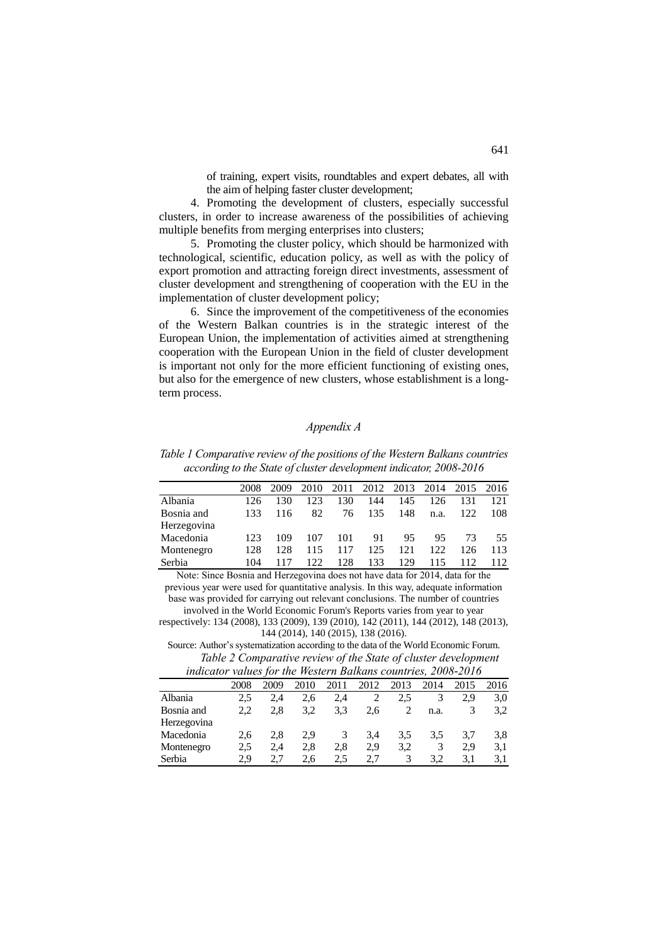of training, expert visits, roundtables and expert debates, all with the aim of helping faster cluster development;

4. Promoting the development of clusters, especially successful clusters, in order to increase awareness of the possibilities of achieving multiple benefits from merging enterprises into clusters;

5. Promoting the cluster policy, which should be harmonized with technological, scientific, education policy, as well as with the policy of export promotion and attracting foreign direct investments, assessment of cluster development and strengthening of cooperation with the EU in the implementation of cluster development policy;

6. Since the improvement of the competitiveness of the economies of the Western Balkan countries is in the strategic interest of the European Union, the implementation of activities aimed at strengthening cooperation with the European Union in the field of cluster development is important not only for the more efficient functioning of existing ones, but also for the emergence of new clusters, whose establishment is a longterm process.

## *Appendix A*

*Table 1 Comparative review of the positions of the Western Balkans countries according to the State of cluster development indicator, 2008-2016*

|             | 2008 | 2009 | 2010 | 2011 |     | 2012 2013 2014 |      | 2015 2016 |     |
|-------------|------|------|------|------|-----|----------------|------|-----------|-----|
| Albania     | 126  | 130  | 123  | 130  | 144 | 145            | 126  | 131       | 121 |
| Bosnia and  | 133  | 116  | 82   | 76   | 135 | 148            | n.a. | 122       | 108 |
| Herzegovina |      |      |      |      |     |                |      |           |     |
| Macedonia   | 123  | 109  | 107  | 101  | 91  | 95             | 95   | 73        | 55  |
| Montenegro  | 128  | 128  | 115  | 117  | 125 | 121            | 122  | 126       | 113 |
| Serbia      | 104  | 117  | 122  | 128  | 133 | 129            | 115  | 112       | 112 |
|             |      |      |      |      |     |                |      |           |     |

Note: Since Bosnia and Herzegovina does not have data for 2014, data for the previous year were used for quantitative analysis. In this way, adequate information base was provided for carrying out relevant conclusions. The number of countries

involved in the World Economic Forum's Reports varies from year to year respectively: 134 (2008), 133 (2009), 139 (2010), 142 (2011), 144 (2012), 148 (2013), 144 (2014), 140 (2015), 138 (2016).

Source: Author's systematization according to the data of the World Economic Forum. *Table 2 Comparative review of the State of cluster development indicator values for the Western Balkans countries, 2008-2016*

|             | 2008 | 2009 | 2010 | 2011 | 2012 | 2013 | 2014 | 2015 | 2016 |  |
|-------------|------|------|------|------|------|------|------|------|------|--|
| Albania     | 2.5  | 2.4  | 2.6  | 2.4  |      | 2.5  |      | 2.9  | 3,0  |  |
| Bosnia and  | 2,2  | 2.8  | 3.2  | 3.3  | 2.6  |      | n.a. |      | 3.2  |  |
| Herzegovina |      |      |      |      |      |      |      |      |      |  |
| Macedonia   | 2.6  | 2.8  | 2.9  | 3    | 3.4  | 3.5  | 3.5  | 3.7  | 3.8  |  |
| Montenegro  | 2.5  | 2.4  | 2,8  | 2.8  | 2.9  | 3.2  | 3    | 2.9  | 3,1  |  |
| Serbia      | 2.9  |      | 2.6  | 2.5  | 2.7  |      | 3.2  | 3.1  | 3.1  |  |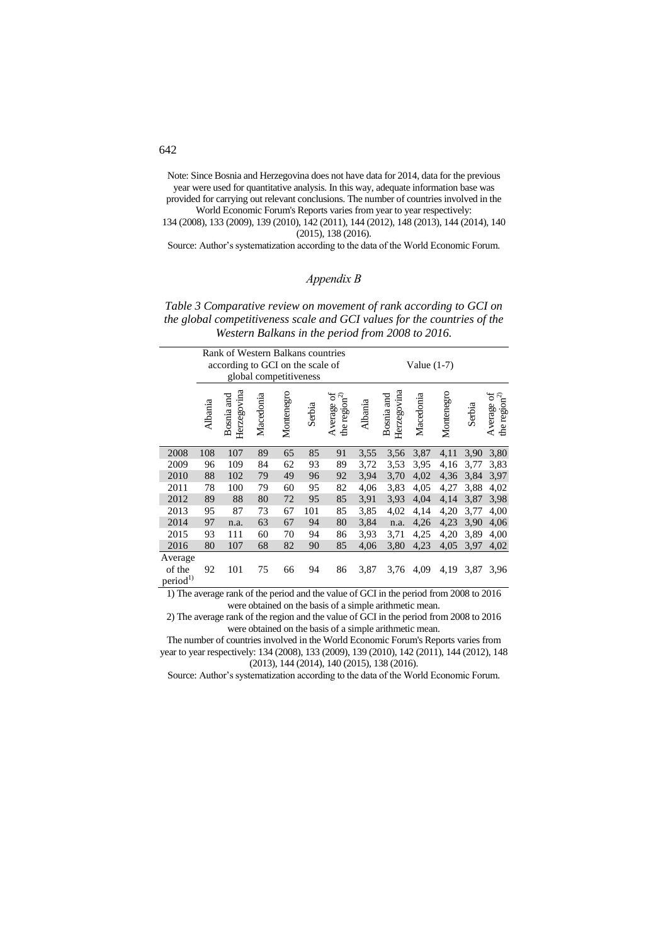Note: Since Bosnia and Herzegovina does not have data for 2014, data for the previous year were used for quantitative analysis. In this way, adequate information base was provided for carrying out relevant conclusions. The number of countries involved in the

World Economic Forum's Reports varies from year to year respectively: 134 (2008), 133 (2009), 139 (2010), 142 (2011), 144 (2012), 148 (2013), 144 (2014), 140 (2015), 138 (2016).

Source: Author's systematization according to the data of the World Economic Forum.

## *Appendix B*

*Table 3 Comparative review on movement of rank according to GCI on the global competitiveness scale and GCI values for the countries of the Western Balkans in the period from 2008 to 2016.*

|                                           |         | Rank of Western Balkans countries<br>according to GCI on the scale of |           | global competitiveness |        | Value $(1-7)$                    |         |                           |           |            |        |                                 |
|-------------------------------------------|---------|-----------------------------------------------------------------------|-----------|------------------------|--------|----------------------------------|---------|---------------------------|-----------|------------|--------|---------------------------------|
|                                           | Albania | Herzegovina<br>Bosnia and                                             | Macedonia | Montenegro             | Serbia | Average of<br>the region $^{2)}$ | Albania | Herzegovina<br>Bosnia and | Macedonia | Montenegro | Serbia | Average of<br>the region $^{2}$ |
| 2008                                      | 108     | 107                                                                   | 89        | 65                     | 85     | 91                               | 3,55    | 3,56                      | 3,87      | 4,11       | 3,90   | 3,80                            |
| 2009                                      | 96      | 109                                                                   | 84        | 62                     | 93     | 89                               | 3,72    | 3,53                      | 3,95      | 4,16       | 3,77   | 3,83                            |
| 2010                                      | 88      | 102                                                                   | 79        | 49                     | 96     | 92                               | 3,94    | 3,70                      | 4,02      | 4,36       | 3,84   | 3,97                            |
| 2011                                      | 78      | 100                                                                   | 79        | 60                     | 95     | 82                               | 4,06    | 3,83                      | 4,05      | 4,27       | 3,88   | 4,02                            |
| 2012                                      | 89      | 88                                                                    | 80        | 72                     | 95     | 85                               | 3,91    | 3.93                      | 4,04      | 4,14       | 3,87   | 3,98                            |
| 2013                                      | 95      | 87                                                                    | 73        | 67                     | 101    | 85                               | 3,85    | 4,02                      | 4,14      | 4,20       | 3,77   | 4,00                            |
| 2014                                      | 97      | n.a.                                                                  | 63        | 67                     | 94     | 80                               | 3,84    | n.a.                      | 4,26      | 4,23       | 3,90   | 4,06                            |
| 2015                                      | 93      | 111                                                                   | 60        | 70                     | 94     | 86                               | 3.93    | 3,71                      | 4,25      | 4,20       | 3,89   | 4,00                            |
| 2016                                      | 80      | 107                                                                   | 68        | 82                     | 90     | 85                               | 4,06    | 3,80                      | 4,23      | 4,05       | 3,97   | 4,02                            |
| Average<br>of the<br>period <sup>1)</sup> | 92      | 101                                                                   | 75        | 66                     | 94     | 86                               | 3,87    | 3,76                      | 4,09      | 4,19       | 3,87   | 3,96                            |

1) The average rank of the period and the value of GCI in the period from 2008 to 2016 were obtained on the basis of a simple arithmetic mean.

2) The average rank of the region and the value of GCI in the period from 2008 to 2016 were obtained on the basis of a simple arithmetic mean.

The number of countries involved in the World Economic Forum's Reports varies from year to year respectively: 134 (2008), 133 (2009), 139 (2010), 142 (2011), 144 (2012), 148 (2013), 144 (2014), 140 (2015), 138 (2016).

Source: Author's systematization according to the data of the World Economic Forum.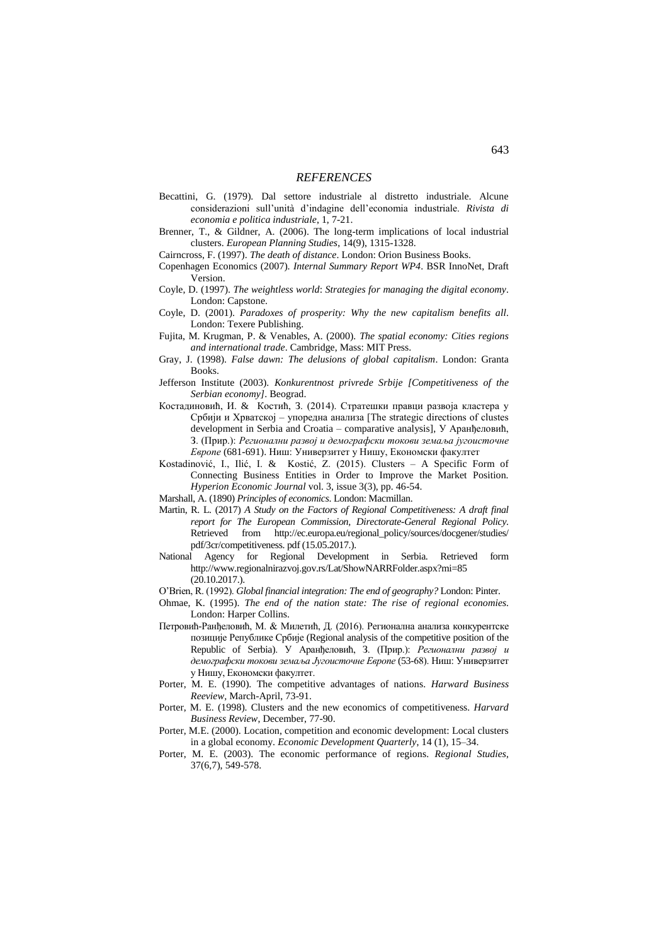#### *REFERENCES*

- Becattini, G. (1979). Dal settore industriale al distretto industriale. Alcune considerazioni sull'unità d'indagine dell'economia industriale. *Rivista di economia e politica industriale*, 1, 7-21.
- Brenner, T., & Gildner, A. (2006). The long-term implications of local industrial clusters. *European Planning Studies*, 14(9), 1315-1328.
- Cairncross, F. (1997). *The death of distance*. London: Orion Business Books.
- Copenhagen Economics (2007). *Internal Summary Report WP4*. BSR InnoNet, Draft Version.
- Coyle, D. (1997). *The weightless world*: *Strategies for managing the digital economy*. London: Capstone.
- Coyle, D. (2001). *Paradoxes of prosperity: Why the new capitalism benefits all*. London: Texere Publishing.
- Fujita, M. Krugman, P. & Venables, A. (2000). *The spatial economy: Cities regions and international trade*. Cambridge, Mass: MIT Press.
- Gray, J. (1998). *False dawn: The delusions of global capitalism*. London: Granta Books.
- Jefferson Institute (2003). *Konkurentnost privrede Srbije [Competitiveness of the Serbian economy]*. Beograd.
- Костадиновић, И. & Костић, З. (2014). Стратешки правци развоја кластера у Србији и Хрватској – упоредна анализа [The strategic directions of clustes development in Serbia and Croatia – comparative analysis], У Аранђеловић, З. (Прир.): *Регионални развој и демографски токови земаља југоисточне Европе* (681-691). Ниш: Универзитет у Нишу, Економски факултет
- Kostadinović, I., Ilić, I. & Kostić, Z. (2015). Clusters A Specific Form of Connecting Business Entities in Order to Improve the Market Position. *Hyperion Economic Journal* vol. 3, issue 3(3), pp. 46-54.
- Marshall, A. (1890) *Principles of economics*. London: Macmillan.
- Martin, R. L. (2017) *A Study on the Factors of Regional Competitiveness: A draft final report for The European Commission, Directorate-General Regional Policy*. Retrieved from http://ec.europa.eu/regional\_policy/sources/docgener/studies/ pdf/3cr/competitiveness. pdf (15.05.2017.).
- National Agency for Regional Development in Serbia. Retrieved form <http://www.regionalnirazvoj.gov.rs/Lat/ShowNARRFolder.aspx?mi=85> (20.10.2017.).
- O'Brien, R. (1992). *Global financial integration: The end of geography?* London: Pinter.
- Ohmae, K. (1995). *The end of the nation state: The rise of regional economies*. London: Harper Collins.
- Петровић-Ранђеловић, М. & Милетић, Д. (2016). Регионална анализа конкурентске позиције Републике Србије (Regional analysis of the competitive position of the Republic of Serbia). У Аранђеловић, З. (Прир.): *Регионални развој и демографски токови земаља Југоисточне Европе* (53-68). Ниш: Универзитет у Нишу, Економски факултет.
- Porter, M. E. (1990). The competitive advantages of nations. *Harward Business Reeview,* March-April, 73-91.
- Porter, M. E. (1998). Clusters and the new economics of competitiveness. *Harvard Business Review*, December, 77-90.
- Porter, M.E. (2000). Location, competition and economic development: Local clusters in a global economy. *Economic Development Quarterly*, 14 (1), 15–34.
- Porter, M. E. (2003). The economic performance of regions. *Regional Studies,*  37(6,7), 549-578.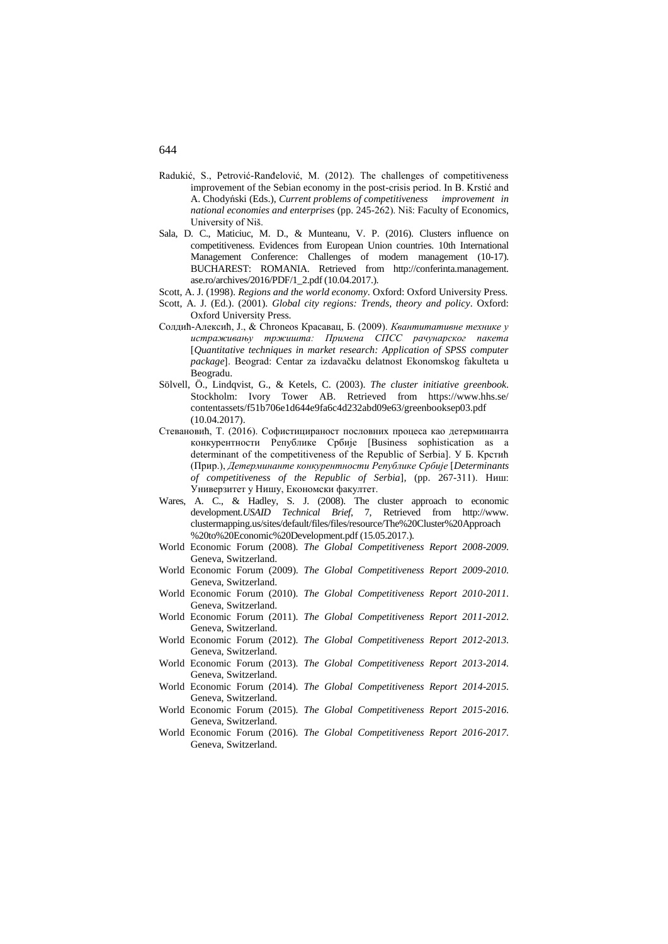- Radukić, S., Petrović-Ranđelović, M. (2012). The challenges of competitiveness improvement of the Sebian economy in the post-crisis period. In B. Krstić and A. Chodyński (Eds.), *Current problems of competitiveness improvement in national economies and enterprises* (pp. 245-262). Niš: Faculty of Economics, University of Niš.
- Sala, D. C., Maticiuc, M. D., & Munteanu, V. P. (2016). Clusters influence on competitiveness. Evidences from European Union countries. 10th International Management Conference: Challenges of modern management (10-17). BUCHAREST: ROMANIA. Retrieved from http://conferinta.management. ase.ro/archives/2016/PDF/1\_2.pdf (10.04.2017.).
- Scott, A. J. (1998). *Regions and the world economy*. Oxford: Oxford University Press.
- Scott, A. J. (Ed.). (2001). *Global city regions: Trends, theory and policy*. Oxford: Oxford University Press.
- Солдић-Алексић, Ј., & Chroneos Красавац, Б. (2009). *Квантитативне технике у истраживању тржишта: Примена СПСС рачунарског пакета*  [*Quantitative techniques in market research: Application of SPSS computer package*]. Beograd: Centar za izdavačku delatnost Ekonomskog fakulteta u Beogradu.
- Sölvell, Ö., Lindqvist, G., & Ketels, C. (2003). *The cluster initiative greenbook*. Stockholm: Ivory Tower AB. Retrieved from https://www.hhs.se/ contentassets/f51b706e1d644e9fa6c4d232abd09e63/greenbooksep03.pdf (10.04.2017).
- Стевановић, Т. (2016). Софистицираност пословних процеса као детерминанта конкурентности Републике Србије [Business sophistication as a determinant of the competitiveness of the Republic of Serbia]. У Б. Крстић (Прир.), *Детерминанте конкурентности Републике Србије* [*Determinants of competitiveness of the Republic of Serbia*]*,* (pp. 267-311). Ниш: Универзитет у Нишу, Економски факултет.
- Wares, A. C., & Hadley, S. J. (2008). The cluster approach to economic development.*USAID Technical Brief*, 7, Retrieved from http://www. clustermapping.us/sites/default/files/files/resource/The%20Cluster%20Approach %20to%20Economic%20Development.pdf (15.05.2017.).
- World Economic Forum (2008). *The Global Competitiveness Report 2008-2009*. Geneva, Switzerland.
- World Economic Forum (2009). *The Global Competitiveness Report 2009-2010*. Geneva, Switzerland.
- World Economic Forum (2010). *The Global Competitiveness Report 2010-2011*. Geneva, Switzerland.
- World Economic Forum (2011). *The Global Competitiveness Report 2011-2012*. Geneva, Switzerland.
- World Economic Forum (2012). *The Global Competitiveness Report 2012-2013*. Geneva, Switzerland.
- World Economic Forum (2013). *The Global Competitiveness Report 2013-2014*. Geneva, Switzerland.
- World Economic Forum (2014). *The Global Competitiveness Report 2014-2015*. Geneva, Switzerland.
- World Economic Forum (2015). *The Global Competitiveness Report 2015-2016*. Geneva, Switzerland.
- World Economic Forum (2016). *The Global Competitiveness Report 2016-2017*. Geneva, Switzerland.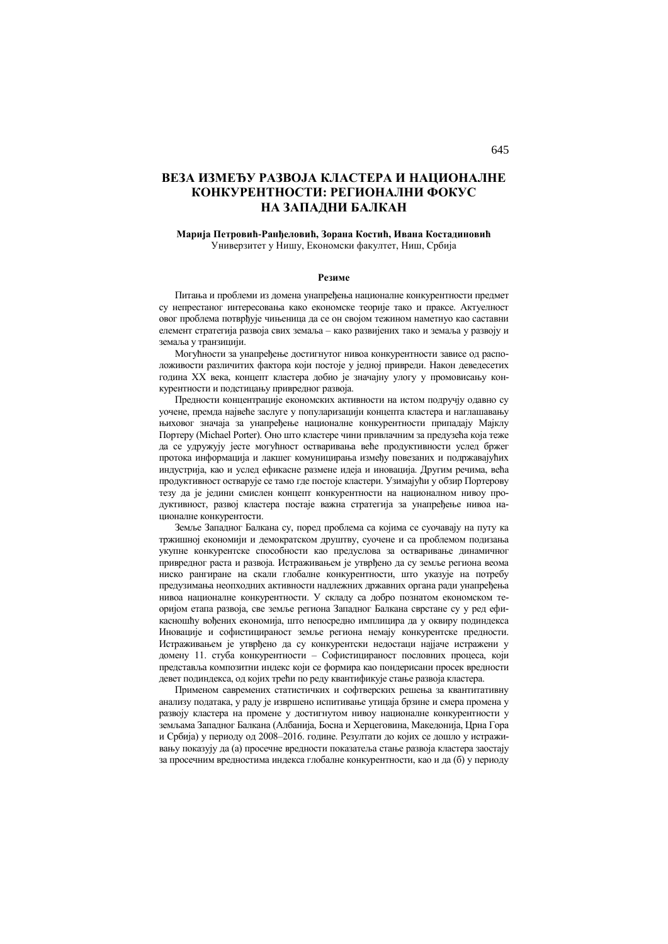# **ВЕЗА ИЗМЕЂУ РАЗВОЈА КЛАСТЕРА И НАЦИОНАЛНЕ КОНКУРЕНТНОСТИ: РЕГИОНАЛНИ ФОКУС НА ЗАПАДНИ БАЛКАН**

#### **Марија Петровић-Ранђеловић, Зорана Костић, Ивана Костадиновић** Универзитет у Нишу, Економски факултет, Ниш, Србија

#### **Резиме**

Питања и проблеми из домена унапређења националне конкурентности предмет су непрестаног интересовања како економске теорије тако и праксе. Актуелност овог проблема потврђује чињеница да се он својом тежином наметнуо као саставни елемент стратегија развоја свих земаља – како развијених тако и земаља у развоју и земаља у транзицији.

Могућности за унапређење достигнутог нивоа конкурентности зависе од расположивости различитих фактора који постоје у једној привреди. Након деведесетих година XX века, концепт кластера добио је значајну улогу у промовисању конкурентности и подстицању привредног развоја.

Предности концентрације економских активности на истом подручју одавно су уочене, премда највеће заслуге у популаризацији концепта кластера и наглашавању њиховог значаја за унапређење националне конкурентности припадају Мајклу Портеру (Michael Porter). Оно што кластере чини привлачним за предузећа која теже да се удружују јесте могућност остваривања веће продуктивности услед бржег протока информација и лакшег комуницирања између повезаних и подржавајућих индустрија, као и услед ефикасне размене идеја и иновација. Другим речима, већа продуктивност остварује се тамо где постоје кластери. Узимајући у обзир Портерову тезу да је једини смислен концепт конкурентности на националном нивоу продуктивност, развој кластера постаје важна стратегија за унапређење нивоа националне конкурентости.

Земље Западног Балкана су, поред проблема са којима се суочавају на путу ка тржишној економији и демократском друштву, суочене и са проблемом подизања укупне конкурентске способности као предуслова за остваривање динамичног привредног раста и развоја. Истраживањем је утврђено да су земље региона веома ниско рангиране на скали глобалне конкурентности, што указује на потребу предузимања неопходних активности надлежних државних органа ради унапређења нивоа националне конкурентности. У складу са добро познатом економском теоријом етапа развоја, све земље региона Западног Балкана сврстане су у ред ефикасношћу вођених економија, што непосредно имплицира да у оквиру подиндекса Иновације и софистицираност земље региона немају конкурентске предности. Истраживањем је утврђено да су конкурентски недостаци најјаче истражени у домену 11. стуба конкурентности – Софистицираност пословних процеса, који представља композитни индекс који се формира као пондерисани просек вредности девет подиндекса, од којих трећи по реду квантификује стање развоја кластера.

Применом савремених статистичких и софтверских решења за квантитативну анализу података, у раду је извршено испитивање утицаја брзине и смера промена у развоју кластера на промене у достигнутом нивоу националне конкурентности у земљама Западног Балкана (Албанија, Босна и Херцеговина, Македонија, Црна Гора и Србија) у периоду од 2008–2016. године. Резултати до којих се дошло у истраживању показују да (а) просечне вредности показатеља стање развоја кластера заостају за просечним вредностима индекса глобалне конкурентности, као и да (б) у периоду